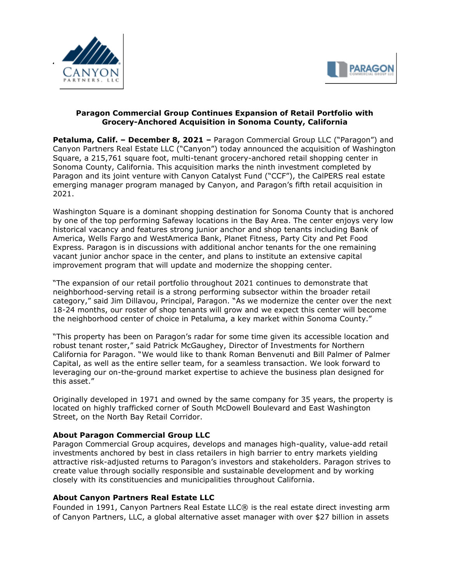



## **Paragon Commercial Group Continues Expansion of Retail Portfolio with Grocery-Anchored Acquisition in Sonoma County, California**

**Petaluma, Calif. – December 8, 2021 –** Paragon Commercial Group LLC ("Paragon") and Canyon Partners Real Estate LLC ("Canyon") today announced the acquisition of Washington Square, a 215,761 square foot, multi-tenant grocery-anchored retail shopping center in Sonoma County, California. This acquisition marks the ninth investment completed by Paragon and its joint venture with Canyon Catalyst Fund ("CCF"), the CalPERS real estate emerging manager program managed by Canyon, and Paragon's fifth retail acquisition in 2021.

Washington Square is a dominant shopping destination for Sonoma County that is anchored by one of the top performing Safeway locations in the Bay Area. The center enjoys very low historical vacancy and features strong junior anchor and shop tenants including Bank of America, Wells Fargo and WestAmerica Bank, Planet Fitness, Party City and Pet Food Express. Paragon is in discussions with additional anchor tenants for the one remaining vacant junior anchor space in the center, and plans to institute an extensive capital improvement program that will update and modernize the shopping center.

"The expansion of our retail portfolio throughout 2021 continues to demonstrate that neighborhood-serving retail is a strong performing subsector within the broader retail category," said Jim Dillavou, Principal, Paragon. "As we modernize the center over the next 18-24 months, our roster of shop tenants will grow and we expect this center will become the neighborhood center of choice in Petaluma, a key market within Sonoma County."

"This property has been on Paragon's radar for some time given its accessible location and robust tenant roster," said Patrick McGaughey, Director of Investments for Northern California for Paragon. "We would like to thank Roman Benvenuti and Bill Palmer of Palmer Capital, as well as the entire seller team, for a seamless transaction. We look forward to leveraging our on-the-ground market expertise to achieve the business plan designed for this asset."

Originally developed in 1971 and owned by the same company for 35 years, the property is located on highly trafficked corner of South McDowell Boulevard and East Washington Street, on the North Bay Retail Corridor.

## **About Paragon Commercial Group LLC**

Paragon Commercial Group acquires, develops and manages high-quality, value-add retail investments anchored by best in class retailers in high barrier to entry markets yielding attractive risk-adjusted returns to Paragon's investors and stakeholders. Paragon strives to create value through socially responsible and sustainable development and by working closely with its constituencies and municipalities throughout California.

## **About Canyon Partners Real Estate LLC**

Founded in 1991, Canyon Partners Real Estate LLC® is the real estate direct investing arm of Canyon Partners, LLC, a global alternative asset manager with over \$27 billion in assets